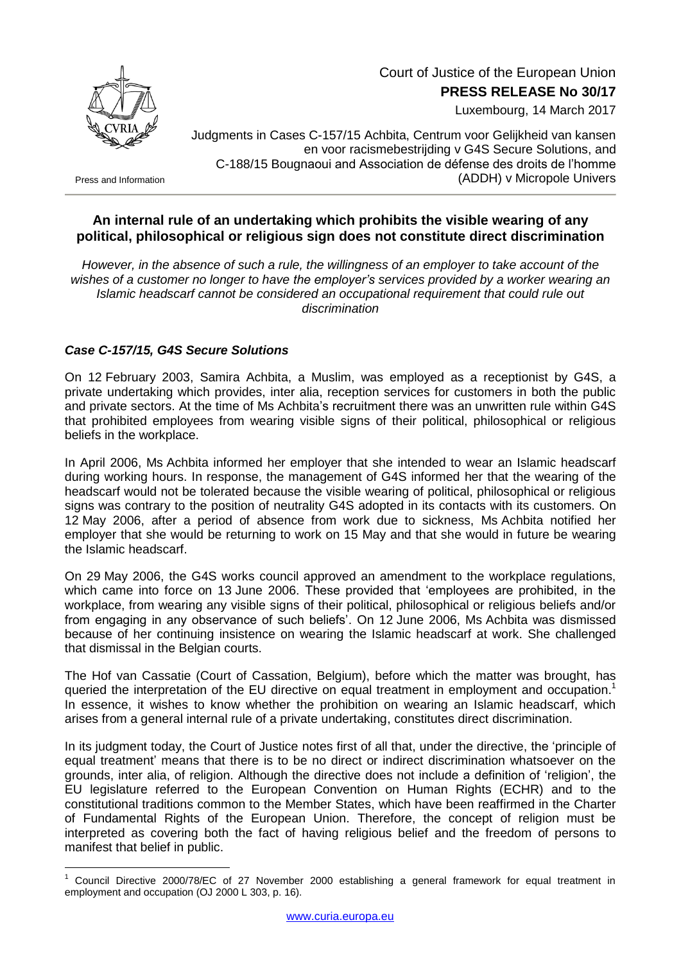

Court of Justice of the European Union

**PRESS RELEASE No 30/17**

Luxembourg, 14 March 2017

Press and Information

<u>.</u>

Judgments in Cases C-157/15 Achbita, Centrum voor Gelijkheid van kansen en voor racismebestrijding v G4S Secure Solutions, and C-188/15 Bougnaoui and Association de défense des droits de l'homme (ADDH) v Micropole Univers

## **An internal rule of an undertaking which prohibits the visible wearing of any political, philosophical or religious sign does not constitute direct discrimination**

*However, in the absence of such a rule, the willingness of an employer to take account of the wishes of a customer no longer to have the employer's services provided by a worker wearing an Islamic headscarf cannot be considered an occupational requirement that could rule out discrimination*

## *Case C-157/15, G4S Secure Solutions*

On 12 February 2003, Samira Achbita, a Muslim, was employed as a receptionist by G4S, a private undertaking which provides, inter alia, reception services for customers in both the public and private sectors. At the time of Ms Achbita's recruitment there was an unwritten rule within G4S that prohibited employees from wearing visible signs of their political, philosophical or religious beliefs in the workplace.

In April 2006, Ms Achbita informed her employer that she intended to wear an Islamic headscarf during working hours. In response, the management of G4S informed her that the wearing of the headscarf would not be tolerated because the visible wearing of political, philosophical or religious signs was contrary to the position of neutrality G4S adopted in its contacts with its customers. On 12 May 2006, after a period of absence from work due to sickness, Ms Achbita notified her employer that she would be returning to work on 15 May and that she would in future be wearing the Islamic headscarf.

On 29 May 2006, the G4S works council approved an amendment to the workplace regulations, which came into force on 13 June 2006. These provided that 'employees are prohibited, in the workplace, from wearing any visible signs of their political, philosophical or religious beliefs and/or from engaging in any observance of such beliefs'. On 12 June 2006, Ms Achbita was dismissed because of her continuing insistence on wearing the Islamic headscarf at work. She challenged that dismissal in the Belgian courts.

The Hof van Cassatie (Court of Cassation, Belgium), before which the matter was brought, has queried the interpretation of the EU directive on equal treatment in employment and occupation.<sup>1</sup> In essence, it wishes to know whether the prohibition on wearing an Islamic headscarf, which arises from a general internal rule of a private undertaking, constitutes direct discrimination.

In its judgment today, the Court of Justice notes first of all that, under the directive, the 'principle of equal treatment' means that there is to be no direct or indirect discrimination whatsoever on the grounds, inter alia, of religion. Although the directive does not include a definition of 'religion', the EU legislature referred to the European Convention on Human Rights (ECHR) and to the constitutional traditions common to the Member States, which have been reaffirmed in the Charter of Fundamental Rights of the European Union. Therefore, the concept of religion must be interpreted as covering both the fact of having religious belief and the freedom of persons to manifest that belief in public.

<sup>1</sup> Council Directive 2000/78/EC of 27 November 2000 establishing a general framework for equal treatment in employment and occupation (OJ 2000 L 303, p. 16).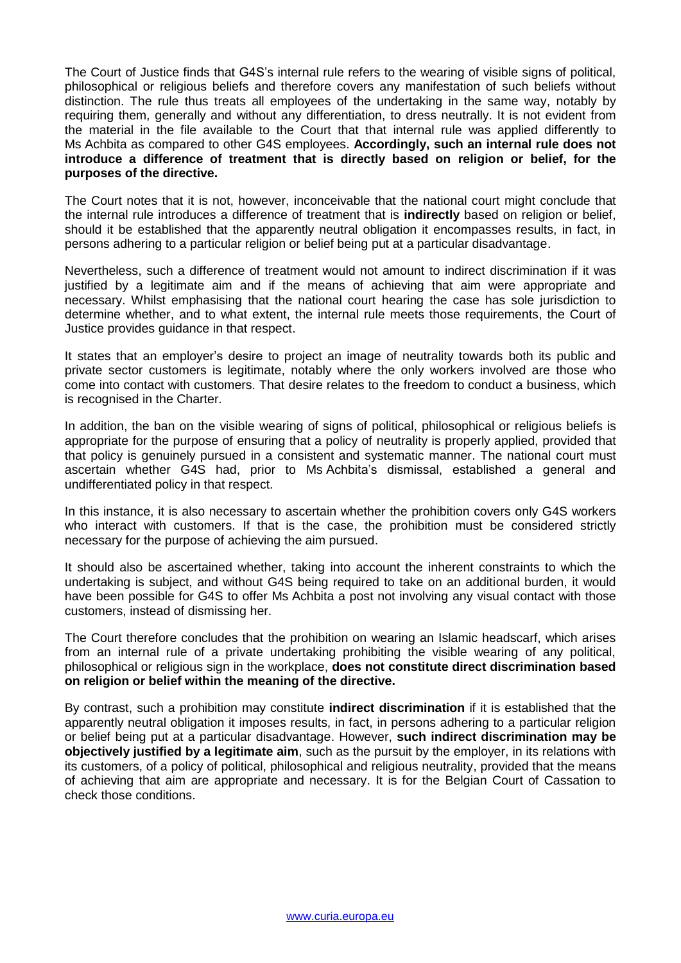The Court of Justice finds that G4S's internal rule refers to the wearing of visible signs of political, philosophical or religious beliefs and therefore covers any manifestation of such beliefs without distinction. The rule thus treats all employees of the undertaking in the same way, notably by requiring them, generally and without any differentiation, to dress neutrally. It is not evident from the material in the file available to the Court that that internal rule was applied differently to Ms Achbita as compared to other G4S employees. **Accordingly, such an internal rule does not introduce a difference of treatment that is directly based on religion or belief, for the purposes of the directive.**

The Court notes that it is not, however, inconceivable that the national court might conclude that the internal rule introduces a difference of treatment that is **indirectly** based on religion or belief, should it be established that the apparently neutral obligation it encompasses results, in fact, in persons adhering to a particular religion or belief being put at a particular disadvantage.

Nevertheless, such a difference of treatment would not amount to indirect discrimination if it was justified by a legitimate aim and if the means of achieving that aim were appropriate and necessary. Whilst emphasising that the national court hearing the case has sole jurisdiction to determine whether, and to what extent, the internal rule meets those requirements, the Court of Justice provides guidance in that respect.

It states that an employer's desire to project an image of neutrality towards both its public and private sector customers is legitimate, notably where the only workers involved are those who come into contact with customers. That desire relates to the freedom to conduct a business, which is recognised in the Charter.

In addition, the ban on the visible wearing of signs of political, philosophical or religious beliefs is appropriate for the purpose of ensuring that a policy of neutrality is properly applied, provided that that policy is genuinely pursued in a consistent and systematic manner. The national court must ascertain whether G4S had, prior to Ms Achbita's dismissal, established a general and undifferentiated policy in that respect.

In this instance, it is also necessary to ascertain whether the prohibition covers only G4S workers who interact with customers. If that is the case, the prohibition must be considered strictly necessary for the purpose of achieving the aim pursued.

It should also be ascertained whether, taking into account the inherent constraints to which the undertaking is subject, and without G4S being required to take on an additional burden, it would have been possible for G4S to offer Ms Achbita a post not involving any visual contact with those customers, instead of dismissing her.

The Court therefore concludes that the prohibition on wearing an Islamic headscarf, which arises from an internal rule of a private undertaking prohibiting the visible wearing of any political, philosophical or religious sign in the workplace, **does not constitute direct discrimination based on religion or belief within the meaning of the directive.**

By contrast, such a prohibition may constitute **indirect discrimination** if it is established that the apparently neutral obligation it imposes results, in fact, in persons adhering to a particular religion or belief being put at a particular disadvantage. However, **such indirect discrimination may be objectively justified by a legitimate aim**, such as the pursuit by the employer, in its relations with its customers, of a policy of political, philosophical and religious neutrality, provided that the means of achieving that aim are appropriate and necessary. It is for the Belgian Court of Cassation to check those conditions.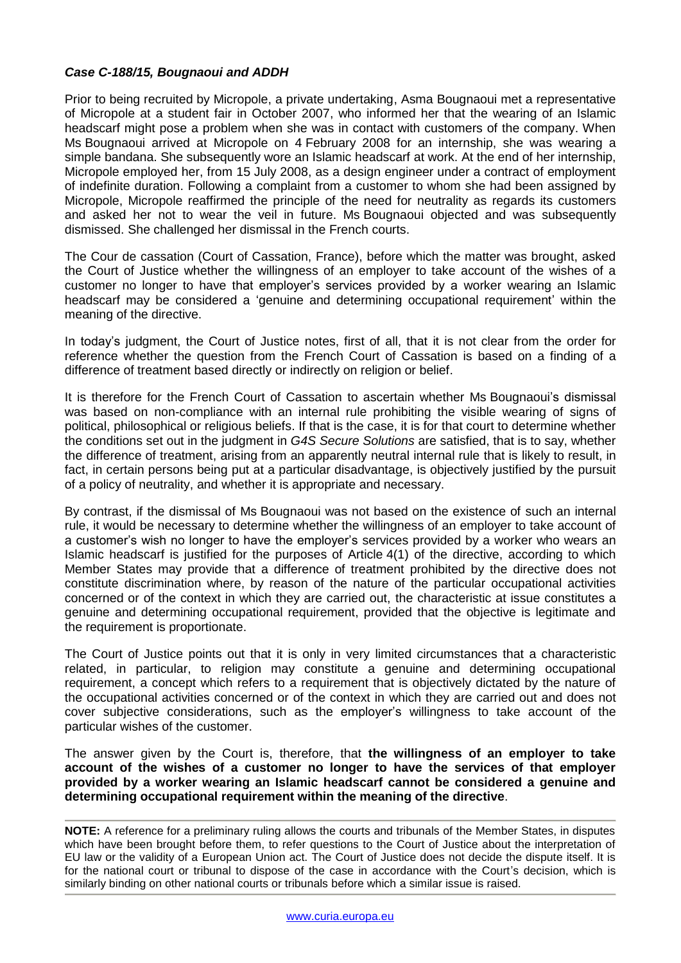## *Case C-188/15, Bougnaoui and ADDH*

Prior to being recruited by Micropole, a private undertaking, Asma Bougnaoui met a representative of Micropole at a student fair in October 2007, who informed her that the wearing of an Islamic headscarf might pose a problem when she was in contact with customers of the company. When Ms Bougnaoui arrived at Micropole on 4 February 2008 for an internship, she was wearing a simple bandana. She subsequently wore an Islamic headscarf at work. At the end of her internship, Micropole employed her, from 15 July 2008, as a design engineer under a contract of employment of indefinite duration. Following a complaint from a customer to whom she had been assigned by Micropole, Micropole reaffirmed the principle of the need for neutrality as regards its customers and asked her not to wear the veil in future. Ms Bougnaoui objected and was subsequently dismissed. She challenged her dismissal in the French courts.

The Cour de cassation (Court of Cassation, France), before which the matter was brought, asked the Court of Justice whether the willingness of an employer to take account of the wishes of a customer no longer to have that employer's services provided by a worker wearing an Islamic headscarf may be considered a 'genuine and determining occupational requirement' within the meaning of the directive.

In today's judgment, the Court of Justice notes, first of all, that it is not clear from the order for reference whether the question from the French Court of Cassation is based on a finding of a difference of treatment based directly or indirectly on religion or belief.

It is therefore for the French Court of Cassation to ascertain whether Ms Bougnaoui's dismissal was based on non-compliance with an internal rule prohibiting the visible wearing of signs of political, philosophical or religious beliefs. If that is the case, it is for that court to determine whether the conditions set out in the judgment in *G4S Secure Solutions* are satisfied, that is to say, whether the difference of treatment, arising from an apparently neutral internal rule that is likely to result, in fact, in certain persons being put at a particular disadvantage, is objectively justified by the pursuit of a policy of neutrality, and whether it is appropriate and necessary.

By contrast, if the dismissal of Ms Bougnaoui was not based on the existence of such an internal rule, it would be necessary to determine whether the willingness of an employer to take account of a customer's wish no longer to have the employer's services provided by a worker who wears an Islamic headscarf is justified for the purposes of Article 4(1) of the directive, according to which Member States may provide that a difference of treatment prohibited by the directive does not constitute discrimination where, by reason of the nature of the particular occupational activities concerned or of the context in which they are carried out, the characteristic at issue constitutes a genuine and determining occupational requirement, provided that the objective is legitimate and the requirement is proportionate.

The Court of Justice points out that it is only in very limited circumstances that a characteristic related, in particular, to religion may constitute a genuine and determining occupational requirement, a concept which refers to a requirement that is objectively dictated by the nature of the occupational activities concerned or of the context in which they are carried out and does not cover subjective considerations, such as the employer's willingness to take account of the particular wishes of the customer.

The answer given by the Court is, therefore, that **the willingness of an employer to take account of the wishes of a customer no longer to have the services of that employer provided by a worker wearing an Islamic headscarf cannot be considered a genuine and determining occupational requirement within the meaning of the directive**.

**NOTE:** A reference for a preliminary ruling allows the courts and tribunals of the Member States, in disputes which have been brought before them, to refer questions to the Court of Justice about the interpretation of EU law or the validity of a European Union act. The Court of Justice does not decide the dispute itself. It is for the national court or tribunal to dispose of the case in accordance with the Court's decision, which is similarly binding on other national courts or tribunals before which a similar issue is raised.